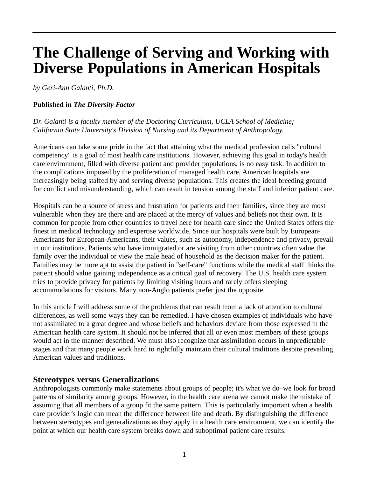# **The Challenge of Serving and Working with Diverse Populations in American Hospitals**

*by Geri-Ann Galanti, Ph.D.* 

#### **Published in** *The Diversity Factor*

*Dr. Galanti is a faculty member of the Doctoring Curriculum, UCLA School of Medicine; California State University's Division of Nursing and its Department of Anthropology.* 

Americans can take some pride in the fact that attaining what the medical profession calls "cultural competency" is a goal of most health care institutions. However, achieving this goal in today's health care environment, filled with diverse patient and provider populations, is no easy task. In addition to the complications imposed by the proliferation of managed health care, American hospitals are increasingly being staffed by and serving diverse populations. This creates the ideal breeding ground for conflict and misunderstanding, which can result in tension among the staff and inferior patient care.

Hospitals can be a source of stress and frustration for patients and their families, since they are most vulnerable when they are there and are placed at the mercy of values and beliefs not their own. It is common for people from other countries to travel here for health care since the United States offers the finest in medical technology and expertise worldwide. Since our hospitals were built by European-Americans for European-Americans, their values, such as autonomy, independence and privacy, prevail in our institutions. Patients who have immigrated or are visiting from other countries often value the family over the individual or view the male head of household as the decision maker for the patient. Families may be more apt to assist the patient in "self-care" functions while the medical staff thinks the patient should value gaining independence as a critical goal of recovery. The U.S. health care system tries to provide privacy for patients by limiting visiting hours and rarely offers sleeping accommodations for visitors. Many non-Anglo patients prefer just the opposite.

In this article I will address some of the problems that can result from a lack of attention to cultural differences, as well some ways they can be remedied. I have chosen examples of individuals who have not assimilated to a great degree and whose beliefs and behaviors deviate from those expressed in the American health care system. It should not be inferred that all or even most members of these groups would act in the manner described. We must also recognize that assimilation occurs in unpredictable stages and that many people work hard to rightfully maintain their cultural traditions despite prevailing American values and traditions.

#### **Stereotypes versus Generalizations**

Anthropologists commonly make statements about groups of people; it's what we do–we look for broad patterns of similarity among groups. However, in the health care arena we cannot make the mistake of assuming that all members of a group fit the same pattern. This is particularly important when a health care provider's logic can mean the difference between life and death. By distinguishing the difference between stereotypes and generalizations as they apply in a health care environment, we can identify the point at which our health care system breaks down and suboptimal patient care results.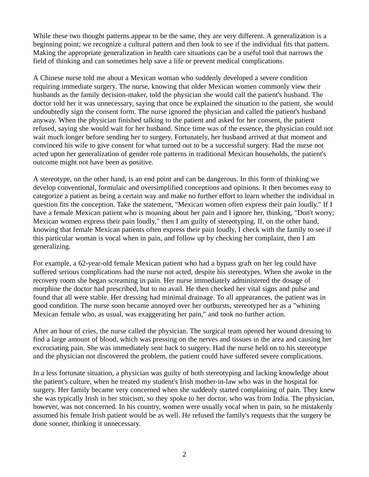While these two thought patterns appear to be the same, they are very different. A generalization is a beginning point; we recognize a cultural pattern and then look to see if the individual fits that pattern. Making the appropriate generalization in health care situations can be a useful tool that narrows the field of thinking and can sometimes help save a life or prevent medical complications.

A Chinese nurse told me about a Mexican woman who suddenly developed a severe condition requiring immediate surgery. The nurse, knowing that older Mexican women commonly view their husbands as the family decision-maker, told the physician she would call the patient's husband. The doctor told her it was unnecessary, saying that once he explained the situation to the patient, she would undoubtedly sign the consent form. The nurse ignored the physician and called the patient's husband anyway. When the physician finished talking to the patient and asked for her consent, the patient refused, saying she would wait for her husband. Since time was of the essence, the physician could not wait much longer before sending her to surgery. Fortunately, her husband arrived at that moment and convinced his wife to give consent for what turned out to be a successful surgery. Had the nurse not acted upon her generalization of gender role patterns in traditional Mexican households, the patient's outcome might not have been as positive.

A stereotype, on the other hand, is an end point and can be dangerous. In this form of thinking we develop conventional, formulaic and oversimplified conceptions and opinions. It then becomes easy to categorize a patient as being a certain way and make no further effort to learn whether the individual in question fits the conception. Take the statement, "Mexican women often express their pain loudly." If I have a female Mexican patient who is moaning about her pain and I ignore her, thinking, "Don't worry; Mexican women express their pain loudly," then I am guilty of stereotyping. If, on the other hand, knowing that female Mexican patients often express their pain loudly, I check with the family to see if this particular woman is vocal when in pain, and follow up by checking her complaint, then I am generalizing.

For example, a 62-year-old female Mexican patient who had a bypass graft on her leg could have suffered serious complications had the nurse not acted, despite his stereotypes. When she awoke in the recovery room she began screaming in pain. Her nurse immediately administered the dosage of morphine the doctor had prescribed, but to no avail. He then checked her vital signs and pulse and found that all were stable. Her dressing had minimal drainage. To all appearances, the patient was in good condition. The nurse soon became annoyed over her outbursts, stereotyped her as a "whining Mexican female who, as usual, was exaggerating her pain," and took no further action.

After an hour of cries, the nurse called the physician. The surgical team opened her wound dressing to find a large amount of blood, which was pressing on the nerves and tissues in the area and causing her excruciating pain. She was immediately sent back to surgery. Had the nurse held on to his stereotype and the physician not discovered the problem, the patient could have suffered severe complications.

In a less fortunate situation, a physician was guilty of both stereotyping and lacking knowledge about the patient's culture, when he treated my student's Irish mother-in-law who was in the hospital for surgery. Her family became very concerned when she suddenly started complaining of pain. They knew she was typically Irish in her stoicism, so they spoke to her doctor, who was from India. The physician, however, was not concerned. In his country, women were usually vocal when in pain, so he mistakenly assumed his female Irish patient would be as well. He refused the family's requests that the surgery be done sooner, thinking it unnecessary.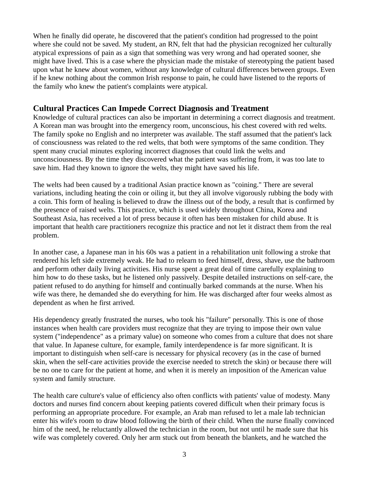When he finally did operate, he discovered that the patient's condition had progressed to the point where she could not be saved. My student, an RN, felt that had the physician recognized her culturally atypical expressions of pain as a sign that something was very wrong and had operated sooner, she might have lived. This is a case where the physician made the mistake of stereotyping the patient based upon what he knew about women, without any knowledge of cultural differences between groups. Even if he knew nothing about the common Irish response to pain, he could have listened to the reports of the family who knew the patient's complaints were atypical.

## **Cultural Practices Can Impede Correct Diagnosis and Treatment**

Knowledge of cultural practices can also be important in determining a correct diagnosis and treatment. A Korean man was brought into the emergency room, unconscious, his chest covered with red welts. The family spoke no English and no interpreter was available. The staff assumed that the patient's lack of consciousness was related to the red welts, that both were symptoms of the same condition. They spent many crucial minutes exploring incorrect diagnoses that could link the welts and unconsciousness. By the time they discovered what the patient was suffering from, it was too late to save him. Had they known to ignore the welts, they might have saved his life.

The welts had been caused by a traditional Asian practice known as "coining." There are several variations, including heating the coin or oiling it, but they all involve vigorously rubbing the body with a coin. This form of healing is believed to draw the illness out of the body, a result that is confirmed by the presence of raised welts. This practice, which is used widely throughout China, Korea and Southeast Asia, has received a lot of press because it often has been mistaken for child abuse. It is important that health care practitioners recognize this practice and not let it distract them from the real problem.

In another case, a Japanese man in his 60s was a patient in a rehabilitation unit following a stroke that rendered his left side extremely weak. He had to relearn to feed himself, dress, shave, use the bathroom and perform other daily living activities. His nurse spent a great deal of time carefully explaining to him how to do these tasks, but he listened only passively. Despite detailed instructions on self-care, the patient refused to do anything for himself and continually barked commands at the nurse. When his wife was there, he demanded she do everything for him. He was discharged after four weeks almost as dependent as when he first arrived.

His dependency greatly frustrated the nurses, who took his "failure" personally. This is one of those instances when health care providers must recognize that they are trying to impose their own value system ("independence" as a primary value) on someone who comes from a culture that does not share that value. In Japanese culture, for example, family interdependence is far more significant. It is important to distinguish when self-care is necessary for physical recovery (as in the case of burned skin, when the self-care activities provide the exercise needed to stretch the skin) or because there will be no one to care for the patient at home, and when it is merely an imposition of the American value system and family structure.

The health care culture's value of efficiency also often conflicts with patients' value of modesty. Many doctors and nurses find concern about keeping patients covered difficult when their primary focus is performing an appropriate procedure. For example, an Arab man refused to let a male lab technician enter his wife's room to draw blood following the birth of their child. When the nurse finally convinced him of the need, he reluctantly allowed the technician in the room, but not until he made sure that his wife was completely covered. Only her arm stuck out from beneath the blankets, and he watched the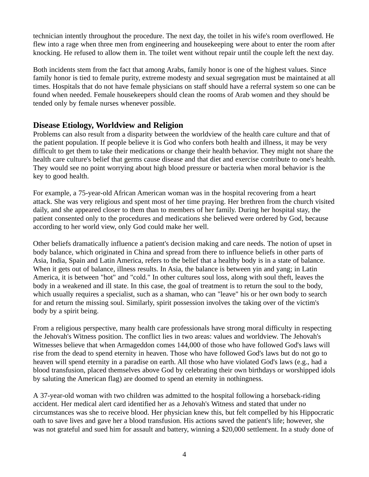technician intently throughout the procedure. The next day, the toilet in his wife's room overflowed. He flew into a rage when three men from engineering and housekeeping were about to enter the room after knocking. He refused to allow them in. The toilet went without repair until the couple left the next day.

Both incidents stem from the fact that among Arabs, family honor is one of the highest values. Since family honor is tied to female purity, extreme modesty and sexual segregation must be maintained at all times. Hospitals that do not have female physicians on staff should have a referral system so one can be found when needed. Female housekeepers should clean the rooms of Arab women and they should be tended only by female nurses whenever possible.

## **Disease Etiology, Worldview and Religion**

Problems can also result from a disparity between the worldview of the health care culture and that of the patient population. If people believe it is God who confers both health and illness, it may be very difficult to get them to take their medications or change their health behavior. They might not share the health care culture's belief that germs cause disease and that diet and exercise contribute to one's health. They would see no point worrying about high blood pressure or bacteria when moral behavior is the key to good health.

For example, a 75-year-old African American woman was in the hospital recovering from a heart attack. She was very religious and spent most of her time praying. Her brethren from the church visited daily, and she appeared closer to them than to members of her family. During her hospital stay, the patient consented only to the procedures and medications she believed were ordered by God, because according to her world view, only God could make her well.

Other beliefs dramatically influence a patient's decision making and care needs. The notion of upset in body balance, which originated in China and spread from there to influence beliefs in other parts of Asia, India, Spain and Latin America, refers to the belief that a healthy body is in a state of balance. When it gets out of balance, illness results. In Asia, the balance is between yin and yang; in Latin America, it is between "hot" and "cold." In other cultures soul loss, along with soul theft, leaves the body in a weakened and ill state. In this case, the goal of treatment is to return the soul to the body, which usually requires a specialist, such as a shaman, who can "leave" his or her own body to search for and return the missing soul. Similarly, spirit possession involves the taking over of the victim's body by a spirit being.

From a religious perspective, many health care professionals have strong moral difficulty in respecting the Jehovah's Witness position. The conflict lies in two areas: values and worldview. The Jehovah's Witnesses believe that when Armageddon comes 144,000 of those who have followed God's laws will rise from the dead to spend eternity in heaven. Those who have followed God's laws but do not go to heaven will spend eternity in a paradise on earth. All those who have violated God's laws (e.g., had a blood transfusion, placed themselves above God by celebrating their own birthdays or worshipped idols by saluting the American flag) are doomed to spend an eternity in nothingness.

A 37-year-old woman with two children was admitted to the hospital following a horseback-riding accident. Her medical alert card identified her as a Jehovah's Witness and stated that under no circumstances was she to receive blood. Her physician knew this, but felt compelled by his Hippocratic oath to save lives and gave her a blood transfusion. His actions saved the patient's life; however, she was not grateful and sued him for assault and battery, winning a \$20,000 settlement. In a study done of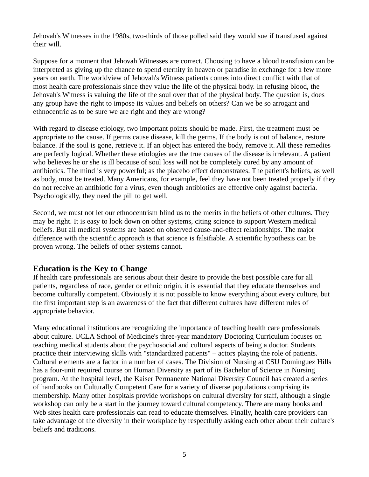Jehovah's Witnesses in the 1980s, two-thirds of those polled said they would sue if transfused against their will.

Suppose for a moment that Jehovah Witnesses are correct. Choosing to have a blood transfusion can be interpreted as giving up the chance to spend eternity in heaven or paradise in exchange for a few more years on earth. The worldview of Jehovah's Witness patients comes into direct conflict with that of most health care professionals since they value the life of the physical body. In refusing blood, the Jehovah's Witness is valuing the life of the soul over that of the physical body. The question is, does any group have the right to impose its values and beliefs on others? Can we be so arrogant and ethnocentric as to be sure we are right and they are wrong?

With regard to disease etiology, two important points should be made. First, the treatment must be appropriate to the cause. If germs cause disease, kill the germs. If the body is out of balance, restore balance. If the soul is gone, retrieve it. If an object has entered the body, remove it. All these remedies are perfectly logical. Whether these etiologies are the true causes of the disease is irrelevant. A patient who believes he or she is ill because of soul loss will not be completely cured by any amount of antibiotics. The mind is very powerful; as the placebo effect demonstrates. The patient's beliefs, as well as body, must be treated. Many Americans, for example, feel they have not been treated properly if they do not receive an antibiotic for a virus, even though antibiotics are effective only against bacteria. Psychologically, they need the pill to get well.

Second, we must not let our ethnocentrism blind us to the merits in the beliefs of other cultures. They may be right. It is easy to look down on other systems, citing science to support Western medical beliefs. But all medical systems are based on observed cause-and-effect relationships. The major difference with the scientific approach is that science is falsifiable. A scientific hypothesis can be proven wrong. The beliefs of other systems cannot.

## **Education is the Key to Change**

If health care professionals are serious about their desire to provide the best possible care for all patients, regardless of race, gender or ethnic origin, it is essential that they educate themselves and become culturally competent. Obviously it is not possible to know everything about every culture, but the first important step is an awareness of the fact that different cultures have different rules of appropriate behavior.

Many educational institutions are recognizing the importance of teaching health care professionals about culture. UCLA School of Medicine's three-year mandatory Doctoring Curriculum focuses on teaching medical students about the psychosocial and cultural aspects of being a doctor. Students practice their interviewing skills with "standardized patients" – actors playing the role of patients. Cultural elements are a factor in a number of cases. The Division of Nursing at CSU Dominguez Hills has a four-unit required course on Human Diversity as part of its Bachelor of Science in Nursing program. At the hospital level, the Kaiser Permanente National Diversity Council has created a series of handbooks on Culturally Competent Care for a variety of diverse populations comprising its membership. Many other hospitals provide workshops on cultural diversity for staff, although a single workshop can only be a start in the journey toward cultural competency. There are many books and Web sites health care professionals can read to educate themselves. Finally, health care providers can take advantage of the diversity in their workplace by respectfully asking each other about their culture's beliefs and traditions.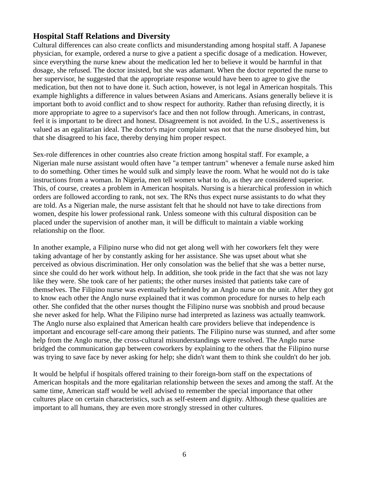# **Hospital Staff Relations and Diversity**

Cultural differences can also create conflicts and misunderstanding among hospital staff. A Japanese physician, for example, ordered a nurse to give a patient a specific dosage of a medication. However, since everything the nurse knew about the medication led her to believe it would be harmful in that dosage, she refused. The doctor insisted, but she was adamant. When the doctor reported the nurse to her supervisor, he suggested that the appropriate response would have been to agree to give the medication, but then not to have done it. Such action, however, is not legal in American hospitals. This example highlights a difference in values between Asians and Americans. Asians generally believe it is important both to avoid conflict and to show respect for authority. Rather than refusing directly, it is more appropriate to agree to a supervisor's face and then not follow through. Americans, in contrast, feel it is important to be direct and honest. Disagreement is not avoided. In the U.S., assertiveness is valued as an egalitarian ideal. The doctor's major complaint was not that the nurse disobeyed him, but that she disagreed to his face, thereby denying him proper respect.

Sex-role differences in other countries also create friction among hospital staff. For example, a Nigerian male nurse assistant would often have "a temper tantrum" whenever a female nurse asked him to do something. Other times he would sulk and simply leave the room. What he would not do is take instructions from a woman. In Nigeria, men tell women what to do, as they are considered superior. This, of course, creates a problem in American hospitals. Nursing is a hierarchical profession in which orders are followed according to rank, not sex. The RNs thus expect nurse assistants to do what they are told. As a Nigerian male, the nurse assistant felt that he should not have to take directions from women, despite his lower professional rank. Unless someone with this cultural disposition can be placed under the supervision of another man, it will be difficult to maintain a viable working relationship on the floor.

In another example, a Filipino nurse who did not get along well with her coworkers felt they were taking advantage of her by constantly asking for her assistance. She was upset about what she perceived as obvious discrimination. Her only consolation was the belief that she was a better nurse, since she could do her work without help. In addition, she took pride in the fact that she was not lazy like they were. She took care of her patients; the other nurses insisted that patients take care of themselves. The Filipino nurse was eventually befriended by an Anglo nurse on the unit. After they got to know each other the Anglo nurse explained that it was common procedure for nurses to help each other. She confided that the other nurses thought the Filipino nurse was snobbish and proud because she never asked for help. What the Filipino nurse had interpreted as laziness was actually teamwork. The Anglo nurse also explained that American health care providers believe that independence is important and encourage self-care among their patients. The Filipino nurse was stunned, and after some help from the Anglo nurse, the cross-cultural misunderstandings were resolved. The Anglo nurse bridged the communication gap between coworkers by explaining to the others that the Filipino nurse was trying to save face by never asking for help; she didn't want them to think she couldn't do her job.

It would be helpful if hospitals offered training to their foreign-born staff on the expectations of American hospitals and the more egalitarian relationship between the sexes and among the staff. At the same time, American staff would be well advised to remember the special importance that other cultures place on certain characteristics, such as self-esteem and dignity. Although these qualities are important to all humans, they are even more strongly stressed in other cultures.